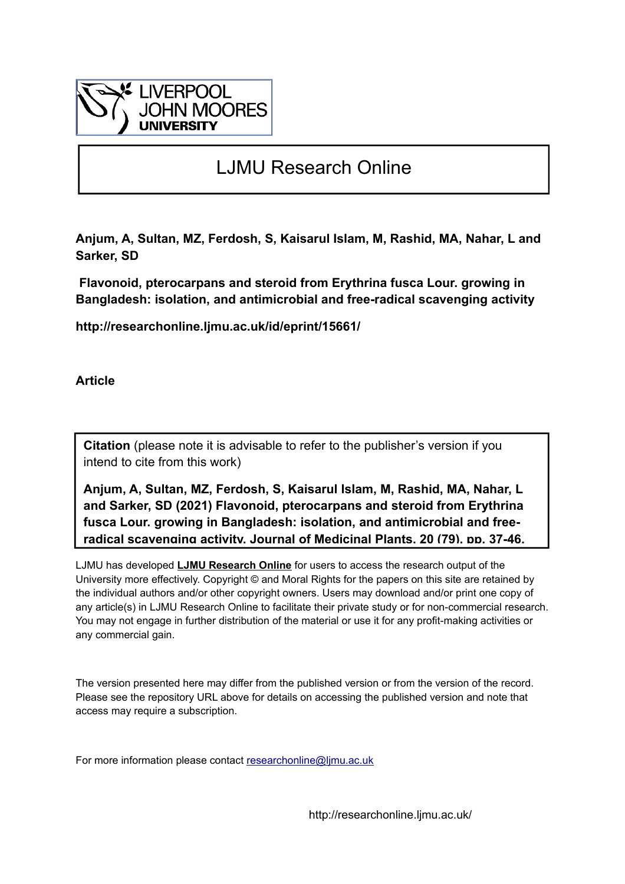

# LJMU Research Online

**Anjum, A, Sultan, MZ, Ferdosh, S, Kaisarul Islam, M, Rashid, MA, Nahar, L and Sarker, SD**

 **Flavonoid, pterocarpans and steroid from Erythrina fusca Lour. growing in Bangladesh: isolation, and antimicrobial and free-radical scavenging activity**

**http://researchonline.ljmu.ac.uk/id/eprint/15661/**

**Article**

**Citation** (please note it is advisable to refer to the publisher's version if you intend to cite from this work)

**Anjum, A, Sultan, MZ, Ferdosh, S, Kaisarul Islam, M, Rashid, MA, Nahar, L and Sarker, SD (2021) Flavonoid, pterocarpans and steroid from Erythrina fusca Lour. growing in Bangladesh: isolation, and antimicrobial and freeradical scavenging activity. Journal of Medicinal Plants, 20 (79). pp. 37-46.** 

LJMU has developed **[LJMU Research Online](http://researchonline.ljmu.ac.uk/)** for users to access the research output of the University more effectively. Copyright © and Moral Rights for the papers on this site are retained by the individual authors and/or other copyright owners. Users may download and/or print one copy of any article(s) in LJMU Research Online to facilitate their private study or for non-commercial research. You may not engage in further distribution of the material or use it for any profit-making activities or any commercial gain.

The version presented here may differ from the published version or from the version of the record. Please see the repository URL above for details on accessing the published version and note that access may require a subscription.

For more information please contact researchonline@limu.ac.uk

http://researchonline.ljmu.ac.uk/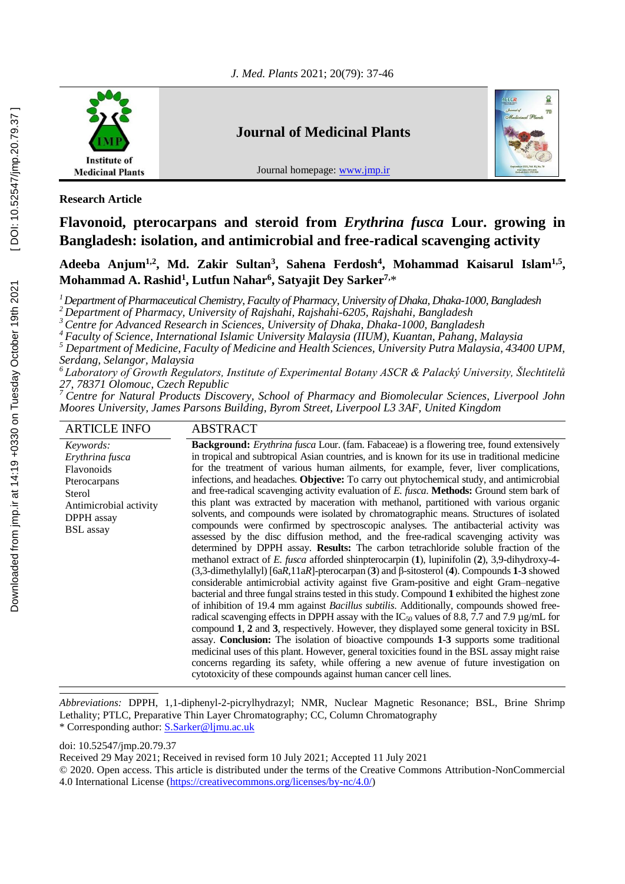

**Research Article**

# **Flavonoid, pterocarpans and steroid from** *Erythrina fusca* **Lour. growing in Bangladesh: isolation, and antimicrobial and free-radical scavenging activity**

**Adeeba Anjum1,2, Md. Zakir Sultan<sup>3</sup> , Sahena Ferdosh<sup>4</sup> , Mohammad Kaisarul Islam1,5 , Mohammad A. Rashid<sup>1</sup> , Lutfun Nahar<sup>6</sup> , Satyajit Dey Sarker7,**\*

*<sup>1</sup>Department of Pharmaceutical Chemistry, Faculty of Pharmacy, University of Dhaka, Dhaka-1000, Bangladesh*

*<sup>2</sup> Department of Pharmacy, University of Rajshahi, Rajshahi-6205, Rajshahi, Bangladesh*

*<sup>3</sup>Centre for Advanced Research in Sciences, University of Dhaka, Dhaka-1000, Bangladesh*

*<sup>4</sup> Faculty of Science, International Islamic University Malaysia (IIUM), Kuantan, Pahang, Malaysia*

*<sup>5</sup> Department of Medicine, Faculty of Medicine and Health Sciences, University Putra Malaysia, 43400 UPM, Serdang, Selangor, Malaysia*

*<sup>6</sup> Laboratory of Growth Regulators, Institute of Experimental Botany ASCR & Palacký University, Šlechtitelů 27, 78371 Olomouc, Czech Republic*

*<sup>7</sup> Centre for Natural Products Discovery, School of Pharmacy and Biomolecular Sciences, Liverpool John Moores University, James Parsons Building, Byrom Street, Liverpool L3 3AF, United Kingdom*

| <b>ARTICLE INFO</b>                                                                                                              | <b>ABSTRACT</b>                                                                                                                                                                                                                                                                                                                                                                                                                                                                                                                                                                                                                                                                                                                                                                                                                                                                                                                                                                                                                                                                                                                                                                                                                                                                                                                                                                                                                                                                                                                                                                                                                                                                                                                                                                                                                                                                                                                                                                                        |
|----------------------------------------------------------------------------------------------------------------------------------|--------------------------------------------------------------------------------------------------------------------------------------------------------------------------------------------------------------------------------------------------------------------------------------------------------------------------------------------------------------------------------------------------------------------------------------------------------------------------------------------------------------------------------------------------------------------------------------------------------------------------------------------------------------------------------------------------------------------------------------------------------------------------------------------------------------------------------------------------------------------------------------------------------------------------------------------------------------------------------------------------------------------------------------------------------------------------------------------------------------------------------------------------------------------------------------------------------------------------------------------------------------------------------------------------------------------------------------------------------------------------------------------------------------------------------------------------------------------------------------------------------------------------------------------------------------------------------------------------------------------------------------------------------------------------------------------------------------------------------------------------------------------------------------------------------------------------------------------------------------------------------------------------------------------------------------------------------------------------------------------------------|
| Keywords:<br>Erythrina fusca<br>Flavonoids<br>Pterocarpans<br>Sterol<br>Antimicrobial activity<br>DPPH assay<br><b>BSL</b> assay | Background: Erythrina fusca Lour. (fam. Fabaceae) is a flowering tree, found extensively<br>in tropical and subtropical Asian countries, and is known for its use in traditional medicine<br>for the treatment of various human ailments, for example, fever, liver complications,<br>infections, and headaches. Objective: To carry out phytochemical study, and antimicrobial<br>and free-radical scavenging activity evaluation of E. fusca. Methods: Ground stem bark of<br>this plant was extracted by maceration with methanol, partitioned with various organic<br>solvents, and compounds were isolated by chromatographic means. Structures of isolated<br>compounds were confirmed by spectroscopic analyses. The antibacterial activity was<br>assessed by the disc diffusion method, and the free-radical scavenging activity was<br>determined by DPPH assay. Results: The carbon tetrachloride soluble fraction of the<br>methanol extract of E. fusca afforded shinpterocarpin $(1)$ , lupinifolin $(2)$ , 3,9-dihydroxy-4-<br>$(3,3$ -dimethylallyl) [6aR,11aR]-pterocarpan (3) and $\beta$ -sitosterol (4). Compounds 1-3 showed<br>considerable antimicrobial activity against five Gram-positive and eight Gram-negative<br>bacterial and three fungal strains tested in this study. Compound 1 exhibited the highest zone<br>of inhibition of 19.4 mm against <i>Bacillus subtilis</i> . Additionally, compounds showed free-<br>radical scavenging effects in DPPH assay with the $IC_{50}$ values of 8.8, 7.7 and 7.9 µg/mL for<br>compound 1, 2 and 3, respectively. However, they displayed some general toxicity in BSL<br>assay. Conclusion: The isolation of bioactive compounds 1-3 supports some traditional<br>medicinal uses of this plant. However, general toxicities found in the BSL assay might raise<br>concerns regarding its safety, while offering a new avenue of future investigation on<br>cytotoxicity of these compounds against human cancer cell lines. |

*Abbreviations:* DPPH, 1,1-diphenyl-2-picrylhydrazyl; NMR, Nuclear Magnetic Resonance; BSL, Brine Shrimp Lethality; PTLC, Preparative Thin Layer Chromatography; CC, Column Chromatography \* Corresponding author: S.Sarker@ljmu.ac.uk

doi: 10.52547/jmp.20.79.37

Received 29 May 2021; Received in revised form 10 July 2021; Accepted 11 July 2021

<sup>© 2020.</sup> Open access. This article is distributed under the terms of the Creative Commons Attribution-NonCommercial 4.0 International License (https://creativecommons.org/licenses/by-nc/4.0/)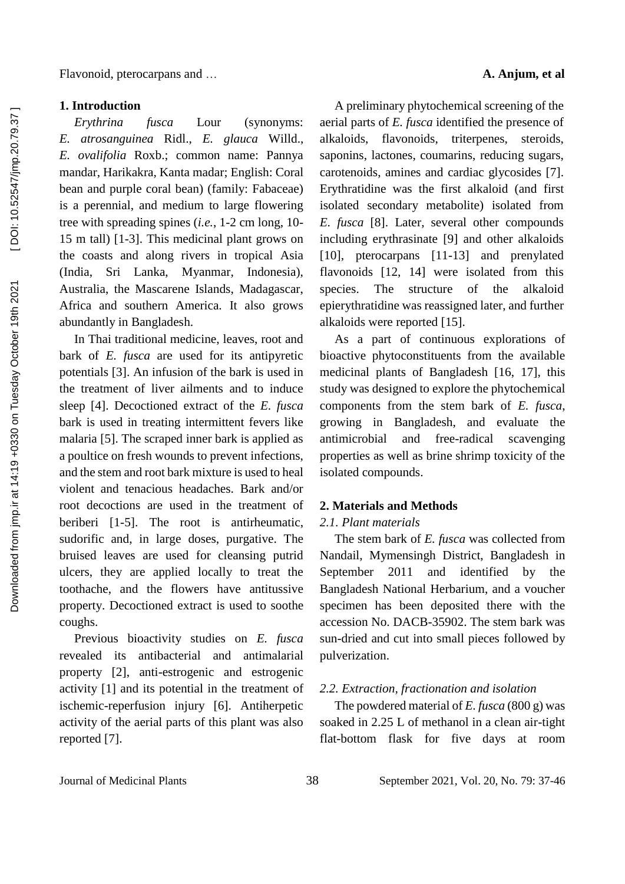### **1. Introduction**

*Erythrina fusca* Lour (synonyms: *E. atrosanguinea* Ridl., *E. glauca* Willd., *E. ovalifolia* Roxb.; common name: Pannya mandar, Harikakra, Kanta madar; English: Coral bean and purple coral bean) (family: Fabaceae) is a perennial, and medium to large flowering tree with spreading spines (*i.e.*, 1-2 cm long, 10- 15 m tall) [1-3]. This medicinal plant grows on the coasts and along rivers in tropical Asia (India, Sri Lanka, Myanmar, Indonesia), Australia, the Mascarene Islands, Madagascar, Africa and southern America. It also grows abundantly in Bangladesh.

In Thai traditional medicine, leaves, root and bark of *E. fusca* are used for its antipyretic potentials [3]. An infusion of the bark is used in the treatment of liver ailments and to induce sleep [4]. Decoctioned extract of the *E. fusca* bark is used in treating intermittent fevers like malaria [5]. The scraped inner bark is applied as a poultice on fresh wounds to prevent infections, and the stem and root bark mixture is used to heal violent and tenacious headaches. Bark and/or root decoctions are used in the treatment of beriberi [1-5]. The root is antirheumatic, sudorific and, in large doses, purgative. The bruised leaves are used for cleansing putrid ulcers, they are applied locally to treat the toothache, and the flowers have antitussive property. Decoctioned extract is used to soothe coughs.

Previous bioactivity studies on *E. fusca* revealed its antibacterial and antimalarial property [2], anti-estrogenic and estrogenic activity [1] and its potential in the treatment of ischemic-reperfusion injury [6]. Antiherpetic activity of the aerial parts of this plant was also reported [7].

A preliminary phytochemical screening of the aerial parts of *E. fusca* identified the presence of alkaloids, flavonoids, triterpenes, steroids, saponins, lactones, coumarins, reducing sugars, carotenoids, amines and cardiac glycosides [7]. Erythratidine was the first alkaloid (and first isolated secondary metabolite) isolated from *E. fusca* [8]. Later, several other compounds including erythrasinate [9] and other alkaloids [10], pterocarpans [11-13] and prenylated flavonoids [12, 14] were isolated from this species. The structure of the alkaloid epierythratidine was reassigned later, and further alkaloids were reported [15].

As a part of continuous explorations of bioactive phytoconstituents from the available medicinal plants of Bangladesh [16, 17], this study was designed to explore the phytochemical components from the stem bark of *E. fusca*, growing in Bangladesh, and evaluate the antimicrobial and free-radical scavenging properties as well as brine shrimp toxicity of the isolated compounds.

# **2. Materials and Methods**

# *2.1. Plant materials*

The stem bark of *E. fusca* was collected from Nandail, Mymensingh District, Bangladesh in September 2011 and identified by the Bangladesh National Herbarium, and a voucher specimen has been deposited there with the accession No. DACB-35902. The stem bark was sun-dried and cut into small pieces followed by pulverization.

# *2.2. Extraction, fractionation and isolation*

The powdered material of *E. fusca* (800 g) was soaked in 2.25 L of methanol in a clean air-tight flat-bottom flask for five days at room

Journal of Medicinal Plants 38 September 2021, Vol. 20, No. 79: 37-46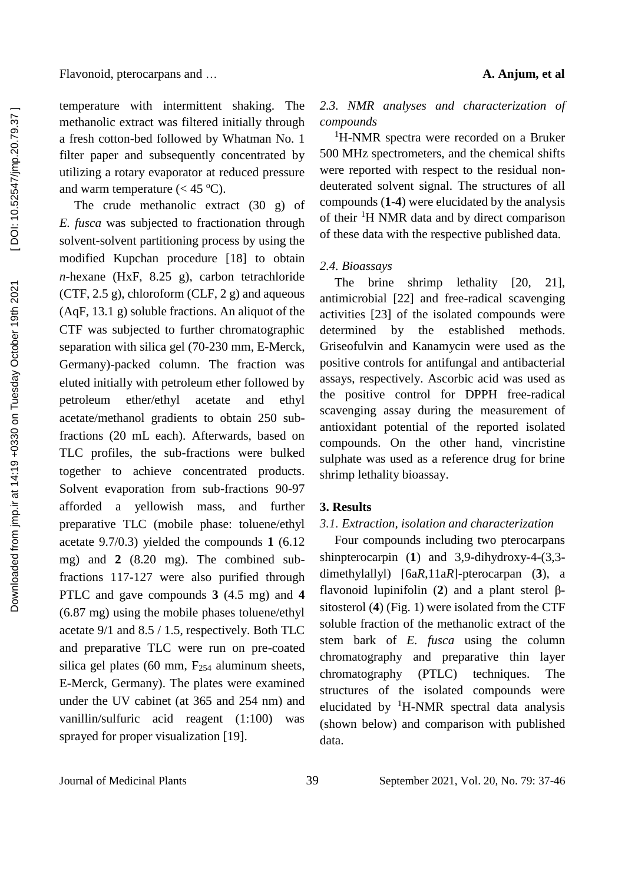temperature with intermittent shaking. The methanolic extract was filtered initially through a fresh cotton-bed followed by Whatman No. 1 filter paper and subsequently concentrated by utilizing a rotary evaporator at reduced pressure and warm temperature  $(< 45 \degree C)$ .

The crude methanolic extract (30 g) of *E. fusca* was subjected to fractionation through solvent-solvent partitioning process by using the modified Kupchan procedure [18] to obtain *n*-hexane (HxF, 8.25 g), carbon tetrachloride (CTF,  $2.5 \text{ g}$ ), chloroform (CLF,  $2 \text{ g}$ ) and aqueous (AqF, 13.1 g) soluble fractions. An aliquot of the CTF was subjected to further chromatographic separation with silica gel (70-230 mm, E-Merck, Germany)-packed column. The fraction was eluted initially with petroleum ether followed by petroleum ether/ethyl acetate and ethyl acetate/methanol gradients to obtain 250 subfractions (20 mL each). Afterwards, based on TLC profiles, the sub-fractions were bulked together to achieve concentrated products. Solvent evaporation from sub-fractions 90-97 afforded a yellowish mass, and further preparative TLC (mobile phase: toluene/ethyl acetate 9.7/0.3) yielded the compounds **1** (6.12 mg) and **2** (8.20 mg). The combined subfractions 117-127 were also purified through PTLC and gave compounds **3** (4.5 mg) and **4** (6.87 mg) using the mobile phases toluene/ethyl acetate 9/1 and 8.5 / 1.5, respectively. Both TLC and preparative TLC were run on pre-coated silica gel plates (60 mm,  $F_{254}$  aluminum sheets, E-Merck, Germany). The plates were examined under the UV cabinet (at 365 and 254 nm) and vanillin/sulfuric acid reagent (1:100) was sprayed for proper visualization [19].

# *2.3. NMR analyses and characterization of compounds*

<sup>1</sup>H-NMR spectra were recorded on a Bruker 500 MHz spectrometers, and the chemical shifts were reported with respect to the residual nondeuterated solvent signal. The structures of all compounds (**1**-**4**) were elucidated by the analysis of their <sup>1</sup>H NMR data and by direct comparison of these data with the respective published data.

# *2.4. Bioassays*

The brine shrimp lethality [20, 21], antimicrobial [22] and free-radical scavenging activities [23] of the isolated compounds were determined by the established methods. Griseofulvin and Kanamycin were used as the positive controls for antifungal and antibacterial assays, respectively. Ascorbic acid was used as the positive control for DPPH free-radical scavenging assay during the measurement of antioxidant potential of the reported isolated compounds. On the other hand, vincristine sulphate was used as a reference drug for brine shrimp lethality bioassay.

# **3. Results**

# *3.1. Extraction, isolation and characterization*

Four compounds including two pterocarpans shinpterocarpin (**1**) and 3,9-dihydroxy-4-(3,3 dimethylallyl) [6a*R*,11a*R*]-pterocarpan (**3**), a flavonoid lupinifolin (**2**) and a plant sterol βsitosterol (**4**) (Fig. 1) were isolated from the CTF soluble fraction of the methanolic extract of the stem bark of *E. fusca* using the column chromatography and preparative thin layer chromatography (PTLC) techniques. The structures of the isolated compounds were elucidated by  ${}^{1}$ H-NMR spectral data analysis (shown below) and comparison with published data.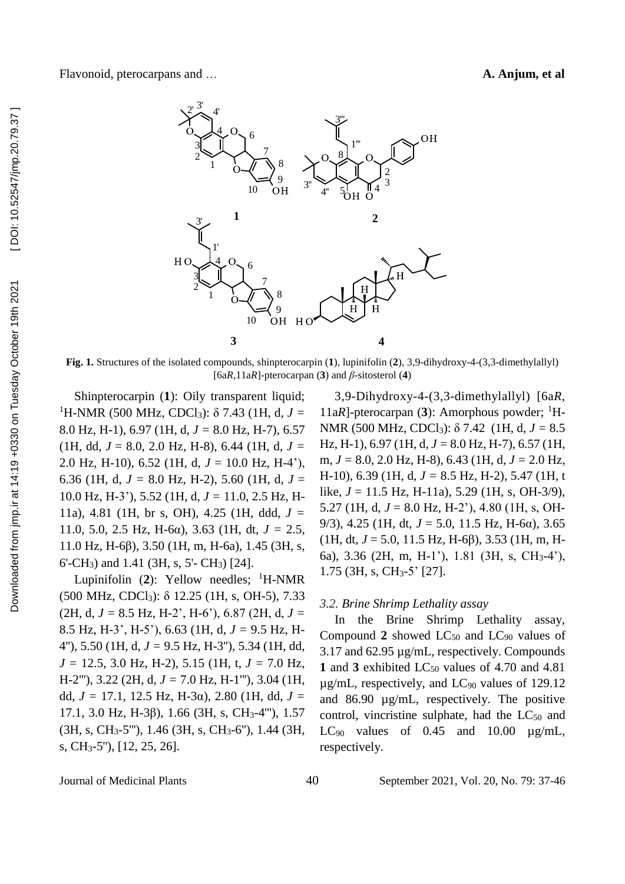

**Fig. 1.** Structures of the isolated compounds, shinpterocarpin (**1**), lupinifolin (**2**), 3,9-dihydroxy-4-(3,3-dimethylallyl) [6a*R*,11a*R*]-pterocarpan (**3**) and *β*-sitosterol (**4**)

Shinpterocarpin (**1**): Oily transparent liquid; <sup>1</sup>H-NMR (500 MHz, CDCl3): δ 7.43 (1H, d, *J =* 8.0 Hz, H-1), 6.97 (1H, d, *J =* 8.0 Hz, H-7), 6.57  $(1H, dd, J = 8.0, 2.0 Hz, H-8), 6.44 (1H, d, J = 1)$ 2.0 Hz, H-10), 6.52 (1H, d, *J* = 10.0 Hz, H-4'), 6.36 (1H, d,  $J = 8.0$  Hz, H-2), 5.60 (1H, d,  $J =$ 10.0 Hz, H-3'), 5.52 (1H, d, *J =* 11.0, 2.5 Hz, H-11a), 4.81 (1H, br s, OH), 4.25 (1H, ddd, *J =* 11.0, 5.0, 2.5 Hz, H-6 $\alpha$ ), 3.63 (1H, dt,  $J = 2.5$ , 11.0 Hz, H-6β), 3.50 (1H, m, H-6a), 1.45 (3H, s, 6'-CH3) and 1.41 (3H, s, 5'- CH3) [24].

Lupinifolin  $(2)$ : Yellow needles; <sup>1</sup>H-NMR (500 MHz, CDCl3): δ 12.25 (1H, s, OH-5), 7.33  $(2H, d, J = 8.5 Hz, H-2', H-6'), 6.87 (2H, d, J =$ 8.5 Hz, H-3', H-5'), 6.63 (1H, d, *J =* 9.5 Hz, H-4''), 5.50 (1H, d, *J =* 9.5 Hz, H-3''), 5.34 (1H, dd, *J =* 12.5, 3.0 Hz, H-2), 5.15 (1H, t, *J =* 7.0 Hz, H-2'''), 3.22 (2H, d, *J =* 7.0 Hz, H-1'''), 3.04 (1H, dd,  $J = 17.1$ , 12.5 Hz, H-3α), 2.80 (1H, dd,  $J =$ 17.1, 3.0 Hz, H-3β), 1.66 (3H, s, CH3-4'''), 1.57 (3H, s, CH3-5'''), 1.46 (3H, s, CH3-6''), 1.44 (3H, s, CH3-5''), [12, 25, 26].

3,9-Dihydroxy-4-(3,3-dimethylallyl) [6a*R*, 11a*R*]-pterocarpan (3): Amorphous powder; <sup>1</sup>H-NMR (500 MHz, CDCl3): δ 7.42 (1H, d, *J =* 8.5 Hz, H-1), 6.97 (1H, d, *J =* 8.0 Hz, H-7), 6.57 (1H, m, *J =* 8.0, 2.0 Hz, H-8), 6.43 (1H, d, *J =* 2.0 Hz, H-10), 6.39 (1H, d, *J =* 8.5 Hz, H-2), 5.47 (1H, t like, *J* = 11.5 Hz, H-11a), 5.29 (1H, s, OH-3/9), 5.27 (1H, d, *J* = 8.0 Hz, H-2'), 4.80 (1H, s, OH-9/3), 4.25 (1H, dt, *J* = 5.0, 11.5 Hz, H-6α), 3.65 (1H, dt, *J* = 5.0, 11.5 Hz, H-6β), 3.53 (1H, m, H-6a), 3.36 (2H, m, H-1'), 1.81 (3H, s, CH3-4'), 1.75 (3H, s, CH3-5' [27].

# *3.2. Brine Shrimp Lethality assay*

In the Brine Shrimp Lethality assay, Compound 2 showed LC<sub>50</sub> and LC<sub>90</sub> values of 3.17 and 62.95 µg/mL, respectively. Compounds 1 and 3 exhibited LC<sub>50</sub> values of 4.70 and 4.81  $\mu$ g/mL, respectively, and LC<sub>90</sub> values of 129.12 and 86.90 µg/mL, respectively. The positive control, vincristine sulphate, had the  $LC_{50}$  and LC<sub>90</sub> values of  $0.45$  and  $10.00 \mu$ g/mL, respectively.

Journal of Medicinal Plants 40 September 2021, Vol. 20, No. 79: 37-46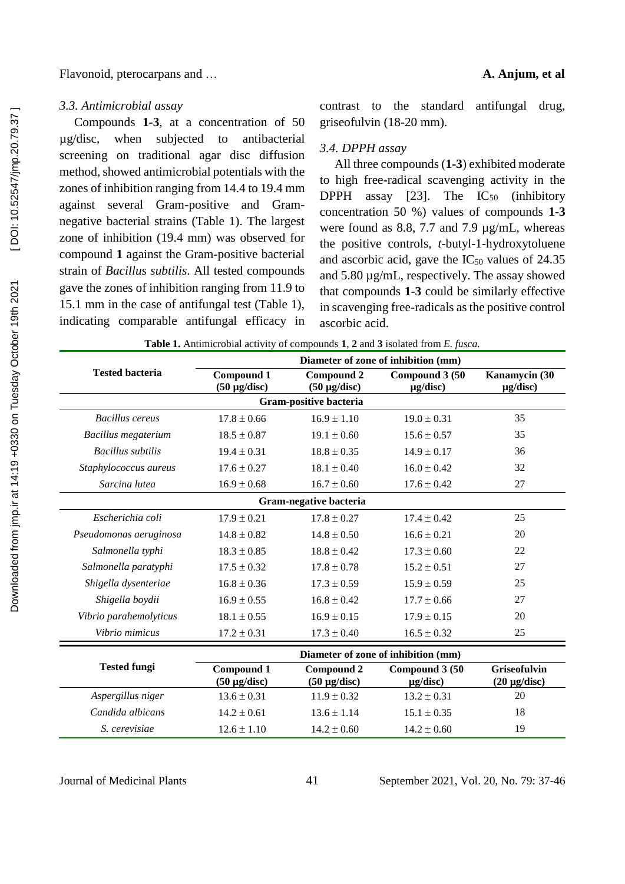Flavonoid, pterocarpans and … **A. Anjum, et al**

### *3.3. Antimicrobial assay*

Compounds **1**-**3**, at a concentration of 50 µg/disc, when subjected to antibacterial screening on traditional agar disc diffusion method, showed antimicrobial potentials with the zones of inhibition ranging from 14.4 to 19.4 mm against several Gram-positive and Gramnegative bacterial strains (Table 1). The largest zone of inhibition (19.4 mm) was observed for compound **1** against the Gram-positive bacterial strain of *Bacillus subtilis*. All tested compounds gave the zones of inhibition ranging from 11.9 to 15.1 mm in the case of antifungal test (Table 1), indicating comparable antifungal efficacy in

contrast to the standard antifungal drug, griseofulvin (18-20 mm).

# *3.4. DPPH assay*

All three compounds (**1-3**) exhibited moderate to high free-radical scavenging activity in the DPPH assay  $[23]$ . The  $IC_{50}$  (inhibitory concentration 50 %) values of compounds **1**-**3** were found as 8.8, 7.7 and 7.9 µg/mL, whereas the positive controls, *t*-butyl-1-hydroxytoluene and ascorbic acid, gave the  $IC_{50}$  values of 24.35 and 5.80 µg/mL, respectively. The assay showed that compounds **1**-**3** could be similarly effective in scavenging free-radicals as the positive control ascorbic acid.

|                          | Diameter of zone of inhibition (mm)    |                                        |                                 |                                          |  |
|--------------------------|----------------------------------------|----------------------------------------|---------------------------------|------------------------------------------|--|
| <b>Tested bacteria</b>   | <b>Compound 1</b><br>$(50 \mu g/disc)$ | <b>Compound 2</b><br>$(50 \mu g/disc)$ | Compound 3 (50<br>$\mu$ g/disc) | Kanamycin (30<br>$\mu$ g/disc)           |  |
|                          |                                        | Gram-positive bacteria                 |                                 |                                          |  |
| Bacillus cereus          | $17.8 \pm 0.66$                        | $16.9 \pm 1.10$                        | $19.0 \pm 0.31$                 | 35                                       |  |
| Bacillus megaterium      | $18.5 \pm 0.87$                        | $19.1 \pm 0.60$                        | $15.6 \pm 0.57$                 | 35                                       |  |
| <b>Bacillus</b> subtilis | $19.4 \pm 0.31$                        | $18.8 \pm 0.35$                        | $14.9 \pm 0.17$                 | 36                                       |  |
| Staphylococcus aureus    | $17.6 \pm 0.27$                        | $18.1 \pm 0.40$                        | $16.0 \pm 0.42$                 | 32                                       |  |
| Sarcina lutea            | $16.9 \pm 0.68$                        | $16.7 \pm 0.60$                        | $17.6 \pm 0.42$                 | 27                                       |  |
|                          |                                        | Gram-negative bacteria                 |                                 |                                          |  |
| Escherichia coli         | $17.9 \pm 0.21$                        | $17.8 \pm 0.27$                        | $17.4 \pm 0.42$                 | 25                                       |  |
| Pseudomonas aeruginosa   | $14.8 \pm 0.82$                        | $14.8 \pm 0.50$                        | $16.6 \pm 0.21$                 | 20                                       |  |
| Salmonella typhi         | $18.3 \pm 0.85$                        | $18.8 \pm 0.42$                        | $17.3 \pm 0.60$                 | 22                                       |  |
| Salmonella paratyphi     | $17.5 \pm 0.32$                        | $17.8 \pm 0.78$                        | $15.2 \pm 0.51$                 | 27                                       |  |
| Shigella dysenteriae     | $16.8 \pm 0.36$                        | $17.3 \pm 0.59$                        | $15.9 \pm 0.59$                 | 25                                       |  |
| Shigella boydii          | $16.9 \pm 0.55$                        | $16.8 \pm 0.42$                        | $17.7 \pm 0.66$                 | 27                                       |  |
| Vibrio parahemolyticus   | $18.1 \pm 0.55$                        | $16.9 \pm 0.15$                        | $17.9 \pm 0.15$                 | 20                                       |  |
| Vibrio mimicus           | $17.2 \pm 0.31$                        | $17.3 \pm 0.40$                        | $16.5 \pm 0.32$                 | 25                                       |  |
|                          | Diameter of zone of inhibition (mm)    |                                        |                                 |                                          |  |
| <b>Tested fungi</b>      | <b>Compound 1</b><br>$(50 \mu g/disc)$ | <b>Compound 2</b><br>$(50 \mu g/disc)$ | Compound 3 (50<br>$\mu$ g/disc) | <b>Griseofulvin</b><br>$(20 \mu g/disc)$ |  |
| Aspergillus niger        | $13.6 \pm 0.31$                        | $11.9 \pm 0.32$                        | $13.2 \pm 0.31$                 | 20                                       |  |
| Candida albicans         | $14.2 \pm 0.61$                        | $13.6 \pm 1.14$                        | $15.1 \pm 0.35$                 | 18                                       |  |
| S. cerevisiae            | $12.6 \pm 1.10$                        | $14.2 \pm 0.60$                        | $14.2 \pm 0.60$                 | 19                                       |  |

**Table 1.** Antimicrobial activity of compounds **1**, **2** and **3** isolated from *E. fusca.*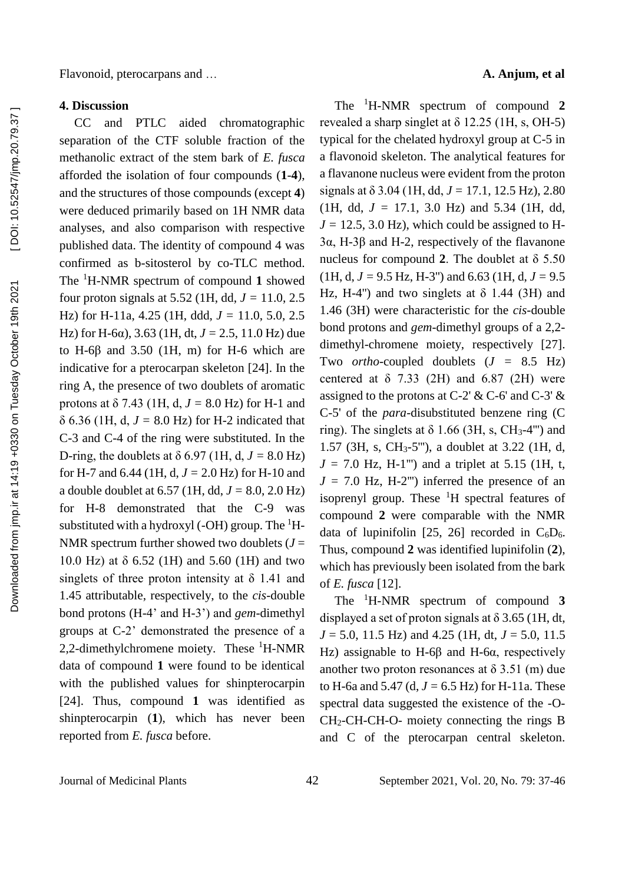Downloaded from jmp.ir at 14:19 +0330 on Tuesday October 19th 2021

methanolic extract of the stem bark of *E. fusca* afforded the isolation of four compounds (**1**-**4**), and the structures of those compounds (except **4**) were deduced primarily based on 1H NMR data analyses, and also comparison with respective published data. The identity of compound 4 was confirmed as b-sitosterol by co-TLC method. The <sup>1</sup>H-NMR spectrum of compound **1** showed four proton signals at 5.52 (1H, dd,  $J = 11.0$ , 2.5) Hz) for H-11a,  $4.25$  (1H, ddd,  $J = 11.0, 5.0, 2.5$ Hz) for H-6α), 3.63 (1H, dt,  $J = 2.5$ , 11.0 Hz) due to H-6 $\beta$  and 3.50 (1H, m) for H-6 which are indicative for a pterocarpan skeleton [24]. In the ring A, the presence of two doublets of aromatic protons at  $\delta$  7.43 (1H, d,  $J = 8.0$  Hz) for H-1 and  $\delta$  6.36 (1H, d,  $J = 8.0$  Hz) for H-2 indicated that C-3 and C-4 of the ring were substituted. In the D-ring, the doublets at  $\delta$  6.97 (1H, d,  $J = 8.0$  Hz) for H-7 and 6.44 (1H, d,  $J = 2.0$  Hz) for H-10 and a double doublet at  $6.57$  (1H, dd,  $J = 8.0$ ,  $2.0$  Hz) for H-8 demonstrated that the C-9 was substituted with a hydroxyl (-OH) group. The  ${}^{1}H$ -NMR spectrum further showed two doublets  $(J =$ 10.0 Hz) at δ 6.52 (1H) and 5.60 (1H) and two singlets of three proton intensity at  $\delta$  1.41 and 1.45 attributable, respectively, to the *cis*-double bond protons (H-4' and H-3') and *gem*-dimethyl groups at C-2' demonstrated the presence of a 2,2-dimethylchromene moiety. These  ${}^{1}$ H-NMR data of compound **1** were found to be identical with the published values for shinpterocarpin [24]. Thus, compound **1** was identified as shinpterocarpin (**1**), which has never been reported from *E. fusca* before.

CC and PTLC aided chromatographic

# Flavonoid, pterocarpans and … **A. Anjum, et al**

The <sup>1</sup>H-NMR spectrum of compound **2** revealed a sharp singlet at  $\delta$  12.25 (1H, s, OH-5) typical for the chelated hydroxyl group at C-5 in a flavonoid skeleton. The analytical features for a flavanone nucleus were evident from the proton signals at  $\delta$  3.04 (1H, dd,  $J = 17.1$ , 12.5 Hz), 2.80 (1H, dd,  $J = 17.1$ , 3.0 Hz) and 5.34 (1H, dd,  $J = 12.5$ , 3.0 Hz), which could be assigned to H-3α, H-3β and H-2, respectively of the flavanone nucleus for compound **2**. The doublet at δ 5.50  $(1H, d, J = 9.5 Hz, H-3"$  and 6.63 (1H, d,  $J = 9.5$ ) Hz, H-4") and two singlets at  $\delta$  1.44 (3H) and 1.46 (3H) were characteristic for the *cis*-double bond protons and *gem*-dimethyl groups of a 2,2 dimethyl-chromene moiety, respectively [27]. Two *ortho*-coupled doublets (*J =* 8.5 Hz) centered at  $\delta$  7.33 (2H) and 6.87 (2H) were assigned to the protons at C-2' & C-6' and C-3'  $\&$ C-5' of the *para*-disubstituted benzene ring (C ring). The singlets at  $\delta$  1.66 (3H, s, CH<sub>3</sub>-4"') and 1.57 (3H, s, CH3-5'''), a doublet at 3.22 (1H, d,  $J = 7.0$  Hz, H-1"') and a triplet at 5.15 (1H, t,  $J = 7.0$  Hz, H-2"') inferred the presence of an isoprenyl group. These <sup>1</sup>H spectral features of compound **2** were comparable with the NMR data of lupinifolin [25, 26] recorded in  $C_6D_6$ . Thus, compound **2** was identified lupinifolin (**2**), which has previously been isolated from the bark of *E. fusca* [12].

The <sup>1</sup>H-NMR spectrum of compound **3**  displayed a set of proton signals at  $\delta$  3.65 (1H, dt, *J* = 5.0, 11.5 Hz) and 4.25 (1H, dt, *J* = 5.0, 11.5 Hz) assignable to H-6β and H-6α, respectively another two proton resonances at  $\delta$  3.51 (m) due to H-6a and 5.47 (d,  $J = 6.5$  Hz) for H-11a. These spectral data suggested the existence of the -O-CH2-CH-CH-O- moiety connecting the rings B and C of the pterocarpan central skeleton.

Journal of Medicinal Plants 42 September 2021, Vol. 20, No. 79: 37-46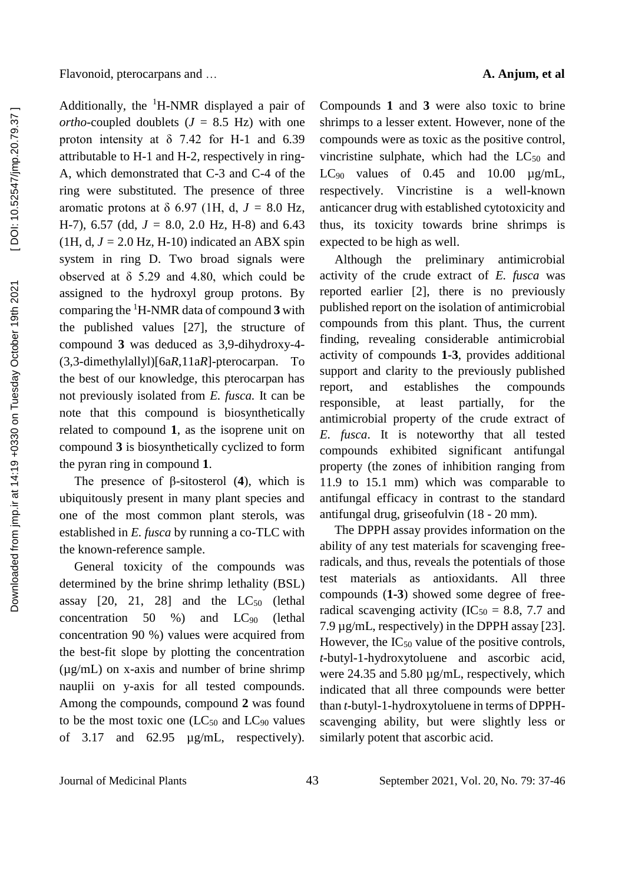Additionally, the  ${}^{1}$ H-NMR displayed a pair of *ortho*-coupled doublets  $(J = 8.5 \text{ Hz})$  with one proton intensity at  $\delta$  7.42 for H-1 and 6.39 attributable to H-1 and H-2, respectively in ring-A, which demonstrated that C-3 and C-4 of the ring were substituted. The presence of three aromatic protons at  $\delta$  6.97 (1H, d,  $J = 8.0$  Hz, H-7), 6.57 (dd,  $J = 8.0$ , 2.0 Hz, H-8) and 6.43 (1H, d,  $J = 2.0$  Hz, H-10) indicated an ABX spin system in ring D. Two broad signals were observed at δ 5.29 and 4.80, which could be assigned to the hydroxyl group protons. By comparing the <sup>1</sup>H-NMR data of compound **3** with the published values [27], the structure of compound **3** was deduced as 3,9-dihydroxy-4- (3,3-dimethylallyl)[6a*R*,11a*R*]-pterocarpan. To the best of our knowledge, this pterocarpan has not previously isolated from *E. fusca.* It can be note that this compound is biosynthetically related to compound **1**, as the isoprene unit on compound **3** is biosynthetically cyclized to form the pyran ring in compound **1**.

The presence of β-sitosterol (**4**), which is ubiquitously present in many plant species and one of the most common plant sterols, was established in *E. fusca* by running a co-TLC with the known-reference sample.

General toxicity of the compounds was determined by the brine shrimp lethality (BSL) assay  $[20, 21, 28]$  and the  $LC_{50}$  (lethal concentration 50 %) and  $LC_{90}$  (lethal concentration 90 %) values were acquired from the best-fit slope by plotting the concentration (µg/mL) on x-axis and number of brine shrimp nauplii on y-axis for all tested compounds. Among the compounds, compound **2** was found to be the most toxic one  $(LC_{50}$  and  $LC_{90}$  values of 3.17 and 62.95 µg/mL, respectively).

Compounds **1** and **3** were also toxic to brine shrimps to a lesser extent. However, none of the compounds were as toxic as the positive control, vincristine sulphate, which had the  $LC_{50}$  and LC<sub>90</sub> values of 0.45 and 10.00  $\mu$ g/mL, respectively. Vincristine is a well-known anticancer drug with established cytotoxicity and thus, its toxicity towards brine shrimps is expected to be high as well.

Although the preliminary antimicrobial activity of the crude extract of *E. fusca* was reported earlier [2], there is no previously published report on the isolation of antimicrobial compounds from this plant. Thus, the current finding, revealing considerable antimicrobial activity of compounds **1**-**3**, provides additional support and clarity to the previously published report, and establishes the compounds responsible, at least partially, for the antimicrobial property of the crude extract of *E. fusca*. It is noteworthy that all tested compounds exhibited significant antifungal property (the zones of inhibition ranging from 11.9 to 15.1 mm) which was comparable to antifungal efficacy in contrast to the standard antifungal drug, griseofulvin (18 - 20 mm).

The DPPH assay provides information on the ability of any test materials for scavenging freeradicals, and thus, reveals the potentials of those test materials as antioxidants. All three compounds (**1-3**) showed some degree of freeradical scavenging activity (IC<sub>50</sub> = 8.8, 7.7 and 7.9 µg/mL, respectively) in the DPPH assay [23]. However, the  $IC_{50}$  value of the positive controls, *t*-butyl-1-hydroxytoluene and ascorbic acid, were 24.35 and 5.80 µg/mL, respectively, which indicated that all three compounds were better than *t*-butyl-1-hydroxytoluene in terms of DPPHscavenging ability, but were slightly less or similarly potent that ascorbic acid.

Journal of Medicinal Plants 43 September 2021, Vol. 20, No. 79: 37-46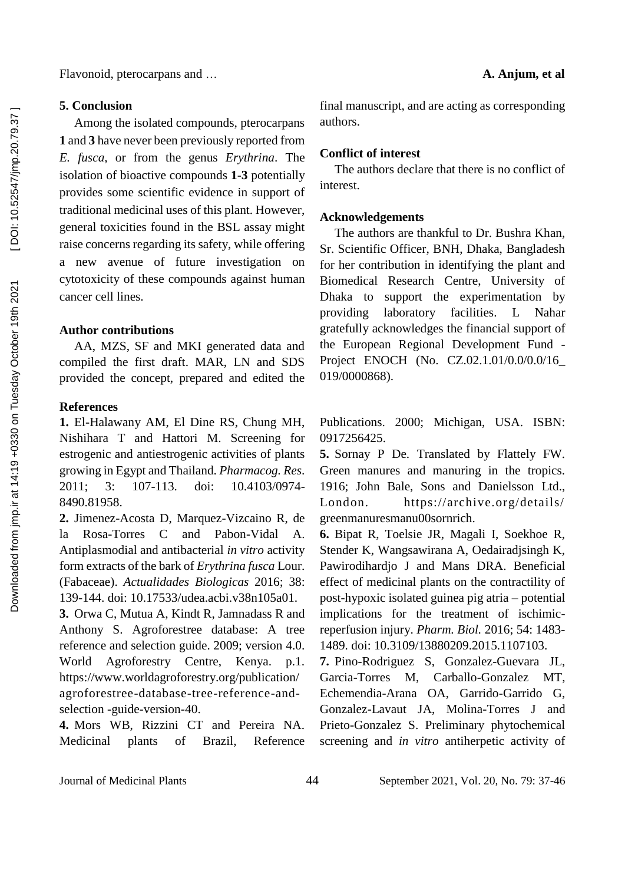Flavonoid, pterocarpans and … **A. Anjum, et al**

# **5. Conclusion**

Among the isolated compounds, pterocarpans **1** and **3** have never been previously reported from *E. fusca*, or from the genus *Erythrina*. The isolation of bioactive compounds **1**-**3** potentially provides some scientific evidence in support of traditional medicinal uses of this plant. However, general toxicities found in the BSL assay might raise concerns regarding its safety, while offering a new avenue of future investigation on cytotoxicity of these compounds against human cancer cell lines.

### **Author contributions**

AA, MZS, SF and MKI generated data and compiled the first draft. MAR, LN and SDS provided the concept, prepared and edited the

### **References**

**1.** El-Halawany AM, El Dine RS, Chung MH, Nishihara T and Hattori M. Screening for estrogenic and antiestrogenic activities of plants growing in Egypt and Thailand. *Pharmacog. Res*. 2011; 3: 107-113. doi: 10.4103/0974- 8490.81958.

**2.** Jimenez-Acosta D, Marquez-Vizcaino R, de la Rosa-Torres C and Pabon-Vidal A. Antiplasmodial and antibacterial *in vitro* activity form extracts of the bark of *Erythrina fusca* Lour. (Fabaceae). *Actualidades Biologicas* 2016; 38: 139-144. doi: 10.17533/udea.acbi.v38n105a01.

**3.** Orwa C, Mutua A, Kindt R, Jamnadass R and Anthony S. Agroforestree database: A tree reference and selection guide. 2009; version 4.0. World Agroforestry Centre, Kenya. p.1. https://www.worldagroforestry.org/publication/ agroforestree-database-tree-reference-andselection -guide-version-40.

**4.** Mors WB, Rizzini CT and Pereira NA. Medicinal plants of Brazil, Reference final manuscript, and are acting as corresponding authors.

# **Conflict of interest**

The authors declare that there is no conflict of interest.

### **Acknowledgements**

The authors are thankful to Dr. Bushra Khan, Sr. Scientific Officer, BNH, Dhaka, Bangladesh for her contribution in identifying the plant and Biomedical Research Centre, University of Dhaka to support the experimentation by providing laboratory facilities. L Nahar gratefully acknowledges the financial support of the European Regional Development Fund - Project ENOCH (No. CZ.02.1.01/0.0/0.0/16\_ 019/0000868).

Publications. 2000; Michigan, USA. ISBN: 0917256425.

**5.** Sornay P De. Translated by Flattely FW. Green manures and manuring in the tropics. 1916; John Bale, Sons and Danielsson Ltd., London. https://archive.org/details/ greenmanuresmanu00sornrich.

**6.** Bipat R, Toelsie JR, Magali I, Soekhoe R, Stender K, Wangsawirana A, Oedairadjsingh K, Pawirodihardjo J and Mans DRA. Beneficial effect of medicinal plants on the contractility of post-hypoxic isolated guinea pig atria – potential implications for the treatment of ischimicreperfusion injury. *Pharm. Biol.* 2016; 54: 1483- 1489. doi: 10.3109/13880209.2015.1107103.

**7.** Pino-Rodriguez S, Gonzalez-Guevara JL, Garcia-Torres M, Carballo-Gonzalez MT, Echemendia-Arana OA, Garrido-Garrido G, Gonzalez-Lavaut JA, Molina-Torres J and Prieto-Gonzalez S. Preliminary phytochemical screening and *in vitro* antiherpetic activity of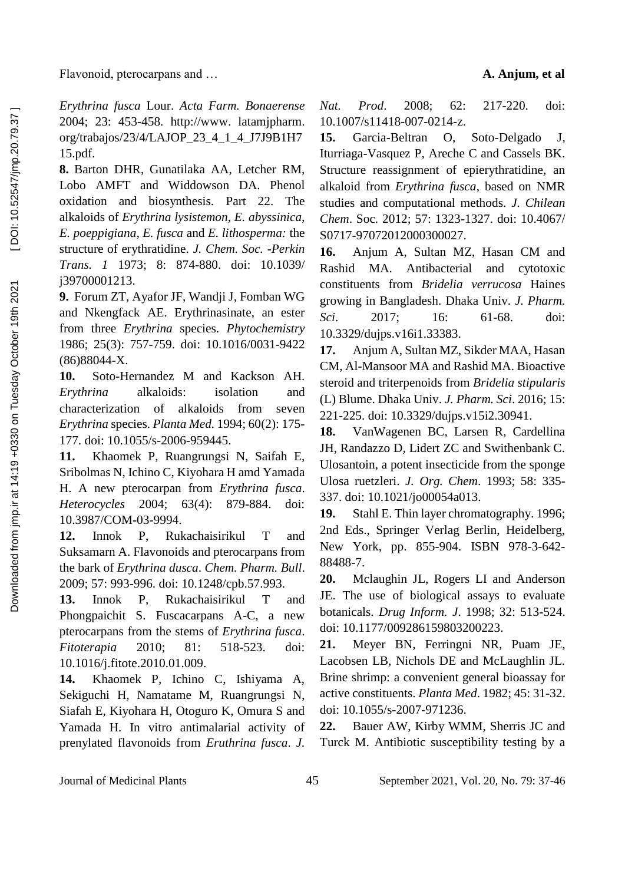Flavonoid, pterocarpans and … **A. Anjum, et al**

*Erythrina fusca* Lour. *Acta Farm. Bonaerense*  2004; 23: 453-458. http://www. latamjpharm. org/trabajos/23/4/LAJOP\_23\_4\_1\_4\_J7J9B1H7 15.pdf.

**8.** Barton DHR, Gunatilaka AA, Letcher RM, Lobo AMFT and Widdowson DA. Phenol oxidation and biosynthesis. Part 22. The alkaloids of *Erythrina lysistemon*, *E. abyssinica*, *E. poeppigiana*, *E. fusca* and *E. lithosperma:* the structure of erythratidine. *J. Chem. Soc. -Perkin Trans. 1* 1973; 8: 874-880. doi: 10.1039/ j39700001213.

**9.** Forum ZT, Ayafor JF, Wandji J, Fomban WG and Nkengfack AE. Erythrinasinate, an ester from three *Erythrina* species. *Phytochemistry* 1986; 25(3): 757-759. doi: 10.1016/0031-9422 (86)88044-X.

**10.** Soto-Hernandez M and Kackson AH. *Erythrina* alkaloids: isolation and characterization of alkaloids from seven *Erythrina* species. *Planta Med.* 1994; 60(2): 175- 177. doi: 10.1055/s-2006-959445.

**11.** Khaomek P, Ruangrungsi N, Saifah E, Sribolmas N, Ichino C, Kiyohara H amd Yamada H. A new pterocarpan from *Erythrina fusca*. *Heterocycles* 2004; 63(4): 879-884. doi: 10.3987/COM-03-9994.

**12.** Innok P, Rukachaisirikul T and Suksamarn A. Flavonoids and pterocarpans from the bark of *Erythrina dusca*. *Chem. Pharm. Bull*. 2009; 57: 993-996. doi: 10.1248/cpb.57.993.

**13.** Innok P, Rukachaisirikul T and Phongpaichit S. Fuscacarpans A-C, a new pterocarpans from the stems of *Erythrina fusca*. *Fitoterapia* 2010; 81: 518-523. doi: 10.1016/j.fitote.2010.01.009.

**14.** Khaomek P, Ichino C, Ishiyama A, Sekiguchi H, Namatame M, Ruangrungsi N, Siafah E, Kiyohara H, Otoguro K, Omura S and Yamada H. In vitro antimalarial activity of prenylated flavonoids from *Eruthrina fusca*. *J.*  *Nat. Prod*. 2008; 62: 217-220. doi: 10.1007/s11418-007-0214-z.

**15.** Garcia-Beltran O, Soto-Delgado J, Iturriaga-Vasquez P, Areche C and Cassels BK. Structure reassignment of epierythratidine, an alkaloid from *Erythrina fusca*, based on NMR studies and computational methods. *J. Chilean Chem*. Soc. 2012; 57: 1323-1327. doi: 10.4067/ S0717-97072012000300027.

**16.** Anjum A, Sultan MZ, Hasan CM and Rashid MA. Antibacterial and cytotoxic constituents from *Bridelia verrucosa* Haines growing in Bangladesh. Dhaka Univ. *J. Pharm. Sci*. 2017; 16: 61-68. doi: 10.3329/dujps.v16i1.33383.

**17.** Anjum A, Sultan MZ, Sikder MAA, Hasan CM, Al-Mansoor MA and Rashid MA. Bioactive steroid and triterpenoids from *Bridelia stipularis* (L) Blume. Dhaka Univ. *J. Pharm. Sci*. 2016; 15: 221-225. doi: 10.3329/dujps.v15i2.30941.

**18.** VanWagenen BC, Larsen R, Cardellina JH, Randazzo D, Lidert ZC and Swithenbank C. Ulosantoin, a potent insecticide from the sponge Ulosa ruetzleri. *J. Org. Chem*. 1993; 58: 335- 337. doi: 10.1021/jo00054a013.

**19.** Stahl E. Thin layer chromatography. 1996; 2nd Eds., Springer Verlag Berlin, Heidelberg, New York, pp. 855-904. ISBN 978-3-642- 88488-7.

**20.** Mclaughin JL, Rogers LI and Anderson JE. The use of biological assays to evaluate botanicals. *Drug Inform. J*. 1998; 32: 513-524. doi: 10.1177/009286159803200223.

**21.** Meyer BN, Ferringni NR, Puam JE, Lacobsen LB, Nichols DE and McLaughlin JL. Brine shrimp: a convenient general bioassay for active constituents. *Planta Med*. 1982; 45: 31-32. doi: 10.1055/s-2007-971236.

**22.** Bauer AW, Kirby WMM, Sherris JC and Turck M. Antibiotic susceptibility testing by a

Journal of Medicinal Plants 45 September 2021, Vol. 20, No. 79: 37-46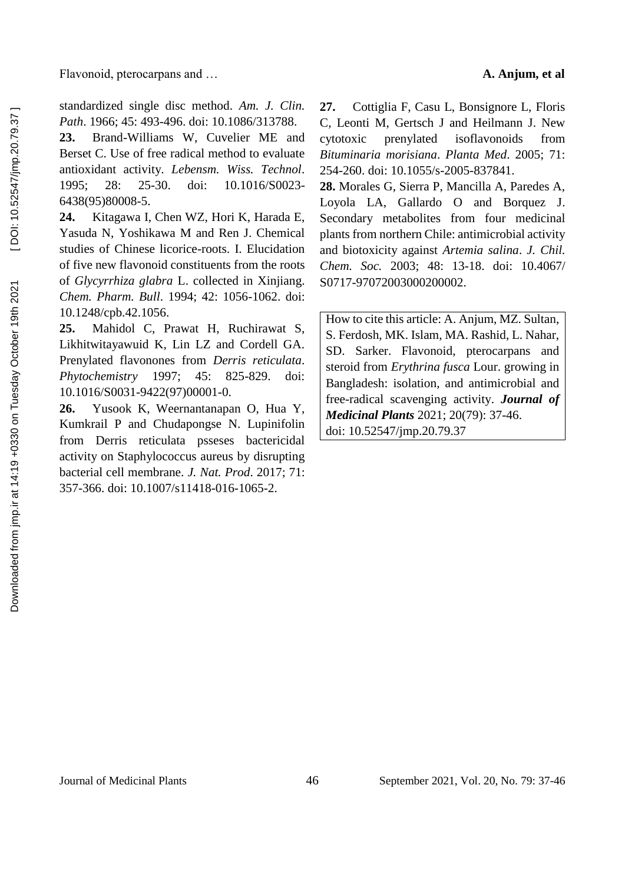standardized single disc method. *Am. J. Clin. Path*. 1966; 45: 493-496. doi: 10.1086/313788.

**23.** Brand-Williams W, Cuvelier ME and Berset C. Use of free radical method to evaluate antioxidant activity. *Lebensm. Wiss. Technol*. 1995; 28: 25-30. doi: 10.1016/S0023- 6438(95)80008-5.

**24.** Kitagawa I, Chen WZ, Hori K, Harada E, Yasuda N, Yoshikawa M and Ren J. Chemical studies of Chinese licorice-roots. I. Elucidation of five new flavonoid constituents from the roots of *Glycyrrhiza glabra* L. collected in Xinjiang. *Chem. Pharm. Bull*. 1994; 42: 1056-1062. doi: 10.1248/cpb.42.1056.

**25.** Mahidol C, Prawat H, Ruchirawat S, Likhitwitayawuid K, Lin LZ and Cordell GA. Prenylated flavonones from *Derris reticulata*. *Phytochemistry* 1997; 45: 825-829. doi: 10.1016/S0031-9422(97)00001-0.

**26.** Yusook K, Weernantanapan O, Hua Y, Kumkrail P and Chudapongse N. Lupinifolin from Derris reticulata psseses bactericidal activity on Staphylococcus aureus by disrupting bacterial cell membrane. *J. Nat. Prod*. 2017; 71: 357-366. doi: 10.1007/s11418-016-1065-2.

**27.** Cottiglia F, Casu L, Bonsignore L, Floris C, Leonti M, Gertsch J and Heilmann J. New cytotoxic prenylated isoflavonoids from *Bituminaria morisiana*. *Planta Med*. 2005; 71: 254-260. doi: 10.1055/s-2005-837841.

**28.** Morales G, Sierra P, Mancilla A, Paredes A, Loyola LA, Gallardo O and Borquez J. Secondary metabolites from four medicinal plants from northern Chile: antimicrobial activity and biotoxicity against *Artemia salina*. *J. Chil. Chem. Soc.* 2003; 48: 13-18. doi: 10.4067/ S0717-97072003000200002.

How to cite this article: A. Anjum, MZ. Sultan, S. Ferdosh, MK. Islam, MA. Rashid, L. Nahar, SD. Sarker. Flavonoid, pterocarpans and steroid from *Erythrina fusca* Lour. growing in Bangladesh: isolation, and antimicrobial and free-radical scavenging activity. *Journal of Medicinal Plants* 2021; 20(79): 37-46. doi: 10.52547/jmp.20.79.37